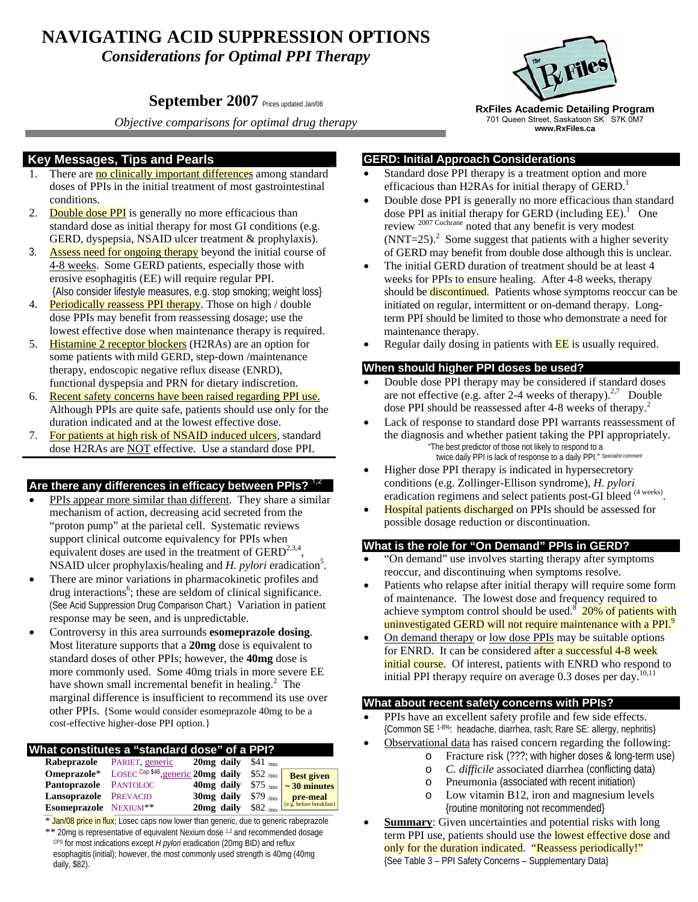# **NAVIGATING ACID SUPPRESSION OPTIONS**  *Considerations for Optimal PPI Therapy*

# **September 2007** Prices updated Jan/08

*Objective comparisons for optimal drug therapy* 

## **Key Messages, Tips and Pearls**

- 1. There are no clinically important differences among standard doses of PPIs in the initial treatment of most gastrointestinal conditions.
- 2. Double dose PPI is generally no more efficacious than standard dose as initial therapy for most GI conditions (e.g. GERD, dyspepsia, NSAID ulcer treatment & prophylaxis).
- 3. Assess need for ongoing therapy beyond the initial course of 4-8 weeks. Some GERD patients, especially those with erosive esophagitis (EE) will require regular PPI. {Also consider lifestyle measures, e.g. stop smoking; weight loss}
- 4. Periodically reassess PPI therapy. Those on high / double dose PPIs may benefit from reassessing dosage; use the lowest effective dose when maintenance therapy is required.
- 5. Histamine 2 receptor blockers (H2RAs) are an option for some patients with mild GERD, step-down /maintenance therapy, endoscopic negative reflux disease (ENRD), functional dyspepsia and PRN for dietary indiscretion.
- 6. Recent safety concerns have been raised regarding PPI use. Although PPIs are quite safe, patients should use only for the duration indicated and at the lowest effective dose.
- 7. For patients at high risk of NSAID induced ulcers, standard dose H2RAs are NOT effective. Use a standard dose PPI.

### Are there any differences in efficacy between PPIs?

- PPIs appear more similar than different. They share a similar mechanism of action, decreasing acid secreted from the "proton pump" at the parietal cell. Systematic reviews support clinical outcome equivalency for PPIs when equivalent doses are used in the treatment of  $GERD<sup>2,3,4</sup>$ , NSAID ulcer prophylaxis/healing and *H. pylori* eradication<sup>5</sup>.
- There are minor variations in pharmacokinetic profiles and drug interactions<sup>6</sup>; these are seldom of clinical significance. (See Acid Suppression Drug Comparison Chart.) Variation in patient response may be seen, and is unpredictable.
- Controversy in this area surrounds **esomeprazole dosing**. Most literature supports that a **20mg** dose is equivalent to standard doses of other PPIs; however, the **40mg** dose is more commonly used. Some 40mg trials in more severe EE have shown small incremental benefit in healing.<sup>2</sup> The marginal difference is insufficient to recommend its use over other PPIs. {Some would consider esomeprazole 40mg to be a cost-effective higher-dose PPI option.}

#### **What constitutes a "standard dose" of a PPI?**

|                       | <b>Rabeprazole</b> PARIET, generic             | 20 mg daily $$41 \, \mu m$ |                |                                                                                    |
|-----------------------|------------------------------------------------|----------------------------|----------------|------------------------------------------------------------------------------------|
|                       | Omeprazole* LOSEC Cap \$46, generic 20mg daily |                            | $$52 \, \mu m$ | <b>Best given</b>                                                                  |
| Pantoprazole PANTOLOC |                                                |                            |                | 40mg daily $$75 \, \mu m$ $\sim 30 \, \text{minutes}$                              |
| Lansoprazole PREVACID |                                                | 30 <sub>mg</sub> daily     |                | $\frac{\$79}{\$82}$ mo $\frac{\text{pre-meal}}{\$e.g. \text{ before breakfast}\}}$ |
| Esomeprazole NEXIUM** |                                                | 20 <sub>mg</sub> daily     | $$82$ /mo      |                                                                                    |

\* Jan/08 price in flux; Losec caps now lower than generic, due to generic rabeprazole \*\* 20mg is representative of equivalent Nexium dose <sup>1,2</sup> and recommended dosage CPS for most indications except *H pylori* eradication (20mg BID) and reflux esophagitis (initial); however, the most commonly used strength is 40mg (40mg daily, \$82).



**RxFiles Academic Detailing Program**  701 Queen Street, Saskatoon SK S7K 0M7 **www.RxFiles.ca**

#### **GERD: Initial Approach Considerations**

- Standard dose PPI therapy is a treatment option and more efficacious than H2RAs for initial therapy of  $GERD<sup>1</sup>$ .
- Double dose PPI is generally no more efficacious than standard dose PPI as initial therapy for GERD (including  $EE$ ).<sup>1</sup> One review 2007 Cochrane noted that any benefit is very modest  $(NNT=25)<sup>2</sup>$  Some suggest that patients with a higher severity of GERD may benefit from double dose although this is unclear.
- The initial GERD duration of treatment should be at least 4 weeks for PPIs to ensure healing. After 4-8 weeks, therapy should be discontinued. Patients whose symptoms reoccur can be initiated on regular, intermittent or on-demand therapy. Longterm PPI should be limited to those who demonstrate a need for maintenance therapy.
- Regular daily dosing in patients with **EE** is usually required.

### **When should higher PPI doses be used?**

- Double dose PPI therapy may be considered if standard doses are not effective (e.g. after 2-4 weeks of therapy). $2^{7}$  Double dose PPI should be reassessed after 4-8 weeks of therapy.2
- Lack of response to standard dose PPI warrants reassessment of the diagnosis and whether patient taking the PPI appropriately. "The best predictor of those not likely to respond to a twice daily PPI is lack of response to a daily PPI." *Specialist comment*
- Higher dose PPI therapy is indicated in hypersecretory conditions (e.g. Zollinger-Ellison syndrome), *H. pylori* eradication regimens and select patients post-GI bleed <sup>(4 weeks)</sup>.
- Hospital patients discharged on PPIs should be assessed for possible dosage reduction or discontinuation.

### **What is the role for "On Demand" PPIs in GERD?**

- "On demand" use involves starting therapy after symptoms reoccur, and discontinuing when symptoms resolve.
- Patients who relapse after initial therapy will require some form of maintenance. The lowest dose and frequency required to achieve symptom control should be used.<sup>8</sup> 20% of patients with uninvestigated GERD will not require maintenance with a PPI.<sup>9</sup>
- On demand therapy or low dose PPIs may be suitable options for ENRD. It can be considered after a successful 4-8 week initial course. Of interest, patients with ENRD who respond to initial PPI therapy require on average  $0.3$  doses per day.<sup>10,11</sup>

### **What about recent safety concerns with PPIs?**

- PPIs have an excellent safety profile and few side effects. {Common SE 1-8%: headache, diarrhea, rash; Rare SE: allergy, nephritis}
	- Observational data has raised concern regarding the following:
		- o Fracture risk (???; with higher doses & long-term use)
		- o *C. difficile* associated diarrhea (conflicting data)
		- o Pneumonia (associated with recent initiation)
		- o Low vitamin B12, iron and magnesium levels {routine monitoring not recommended}
- **Summary:** Given uncertainties and potential risks with long term PPI use, patients should use the **lowest effective dose** and only for the duration indicated. "Reassess periodically!" {See Table 3 – PPI Safety Concerns – Supplementary Data}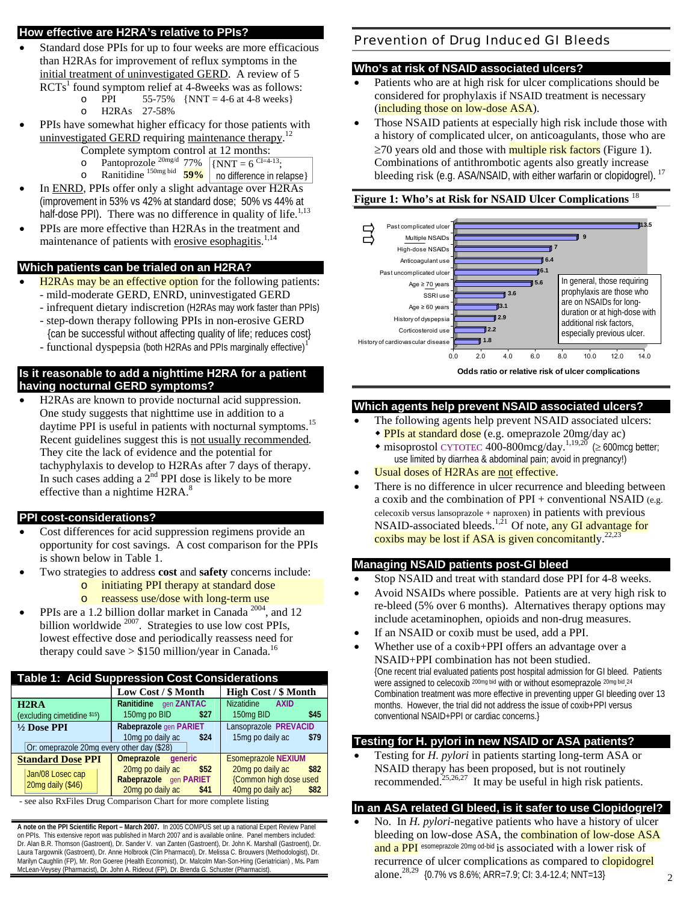### **How effective are H2RA's relative to PPIs?**

- Standard dose PPIs for up to four weeks are more efficacious than H2RAs for improvement of reflux symptoms in the initial treatment of uninvestigated GERD. A review of 5  $RCTs<sup>1</sup>$  found symptom relief at 4-8weeks was as follows:
	- o PPI 55-75%  $\{NNT = 4-6 \text{ at } 4-8 \text{ weeks}\}$
	- o H2RAs 27-58%
- PPIs have somewhat higher efficacy for those patients with uninvestigated GERD requiring maintenance therapy.<sup>12</sup>
	- Complete symptom control at 12 months:
	- $\circ$  Pantoprozole<sup>20mg/d</sup> 77% o Ranitidine 150mg bid **59%**   $\{NNT = 6^{CI=4-13};\}$ no difference in relapse}
- In ENRD, PPIs offer only a slight advantage over H2RAs (improvement in 53% vs 42% at standard dose; 50% vs 44% at half-dose PPI). There was no difference in quality of life.<sup>1,13</sup>
- PPIs are more effective than H2RAs in the treatment and maintenance of patients with erosive esophagitis.<sup>1,14</sup>

# **Which patients can be trialed on an H2RA?**

- H2RAs may be an effective option for the following patients: - mild-moderate GERD, ENRD, uninvestigated GERD
	- infrequent dietary indiscretion (H2RAs may work faster than PPIs)
	- step-down therapy following PPIs in non-erosive GERD {can be successful without affecting quality of life; reduces cost}
	- functional dyspepsia (both H2RAs and PPIs marginally effective) $<sup>1</sup>$ </sup>

### **Is it reasonable to add a nighttime H2RA for a patient having nocturnal GERD symptoms?**

• H2RAs are known to provide nocturnal acid suppression. One study suggests that nighttime use in addition to a daytime PPI is useful in patients with nocturnal symptoms.<sup>15</sup> Recent guidelines suggest this is not usually recommended. They cite the lack of evidence and the potential for tachyphylaxis to develop to H2RAs after 7 days of therapy. In such cases adding a  $2<sup>nd</sup>$  PPI dose is likely to be more effective than a nightime H2RA.<sup>8</sup>

# **PPI cost-considerations?**

- Cost differences for acid suppression regimens provide an opportunity for cost savings. A cost comparison for the PPIs is shown below in Table 1.
- Two strategies to address **cost** and **safety** concerns include:
	- o initiating PPI therapy at standard dose
	- o reassess use/dose with long-term use
- PPIs are a 1.2 billion dollar market in Canada<sup>2004</sup>, and 12 billion worldwide <sup>2007</sup>. Strategies to use low cost PPIs, lowest effective dose and periodically reassess need for therapy could save  $> $150$  million/year in Canada.<sup>16</sup>

| <b>Table 1: Acid Suppression Cost Considerations</b>                                                             |                                                                                                                  |                                                                                                               |  |  |  |  |
|------------------------------------------------------------------------------------------------------------------|------------------------------------------------------------------------------------------------------------------|---------------------------------------------------------------------------------------------------------------|--|--|--|--|
|                                                                                                                  | Low Cost / \$ Month                                                                                              | <b>High Cost / \$ Month</b>                                                                                   |  |  |  |  |
| H <sub>2</sub> R <sub>A</sub><br>(excluding cimetidine \$15)                                                     | Ranitidine gen ZANTAC<br>150mg po BID<br>\$27                                                                    | <b>Nizatidine</b><br><b>AXID</b><br>150mg BID<br>\$45                                                         |  |  |  |  |
| Rabeprazole gen PARIET<br>1/2 Dose PPI<br>10mg po daily ac<br>\$24<br>Or: omeprazole 20mg every other day (\$28) |                                                                                                                  | Lansoprazole PREVACID<br>15mg po daily ac<br>\$79                                                             |  |  |  |  |
| <b>Standard Dose PPI</b><br>Jan/08 Losec cap<br>20mg daily (\$46)                                                | Omeprazole generic<br>20mg po daily ac<br>\$52<br>Rabeprazole gen PARIET<br>20 <sub>mg</sub> po daily ac<br>\$41 | <b>Esomeprazole NEXIUM</b><br>20mg po daily ac<br>\$82<br>{Common high dose used<br>40mg po daily ac}<br>\$82 |  |  |  |  |

- see also RxFiles Drug Comparison Chart for more complete listing

**A note on the PPI Scientific Report – March 2007.** In 2005 COMPUS set up a national Expert Review Panel on PPIs. This extensive report was published in March 2007 and is available online. Panel members included: Dr. Alan B.R. Thomson (Gastroent), Dr. Sander V. van Zanten (Gastroent), Dr. John K. Marshall (Gastroent), Dr. Laura Targownik (Gastroent), Dr. Anne Holbrook (Clin Pharmacol), Dr. Melissa C. Brouwers (Methodologist), Dr. Marilyn Caughlin (FP), Mr. Ron Goeree (Health Economist), Dr. Malcolm Man-Son-Hing (Geriatrician) , Ms**.** Pam McLean-Veysey (Pharmacist), Dr. John A. Rideout (FP), Dr. Brenda G. Schuster (Pharmacist).

# Prevention of Drug Induced GI Bleeds

# **Who's at risk of NSAID associated ulcers?**

- Patients who are at high risk for ulcer complications should be considered for prophylaxis if NSAID treatment is necessary (including those on low-dose ASA).
- Those NSAID patients at especially high risk include those with a history of complicated ulcer, on anticoagulants, those who are ≥70 years old and those with multiple risk factors (Figure 1). Combinations of antithrombotic agents also greatly increase bleeding risk (e.g. ASA/NSAID, with either warfarin or clopidogrel).<sup>17</sup>

# **Figure 1: Who's at Risk for NSAID Ulcer Complications** <sup>18</sup>



# **Odds ratio or relative risk of ulcer complications**

# **Which agents help prevent NSAID associated ulcers?**

- The following agents help prevent NSAID associated ulcers:
	- PPIs at standard dose (e.g. omeprazole 20mg/day ac)
	- $\bullet$  misoprostol CYTOTEC 400-800mcg/day.<sup>1,19,20</sup> (≥ 600mcg better; use limited by diarrhea & abdominal pain; avoid in pregnancy!)
- Usual doses of H2RAs are not effective.
- There is no difference in ulcer recurrence and bleeding between a coxib and the combination of PPI + conventional NSAID (e.g. celecoxib versus lansoprazole + naproxen) in patients with previous NSAID-associated bleeds.<sup>1,21</sup> Of note, any GI advantage for coxibs may be lost if ASA is given concomitantly.<sup>22,23</sup>

# **Managing NSAID patients post-GI bleed**

- Stop NSAID and treat with standard dose PPI for 4-8 weeks.
- Avoid NSAIDs where possible. Patients are at very high risk to re-bleed (5% over 6 months). Alternatives therapy options may include acetaminophen, opioids and non-drug measures.
- If an NSAID or coxib must be used, add a PPI.
- Whether use of a coxib+PPI offers an advantage over a NSAID+PPI combination has not been studied. {One recent trial evaluated patients post hospital admission for GI bleed. Patients were assigned to celecoxib <sup>200mg bid</sup> with or without esomeprazole <sup>20mg bid</sup>.<sup>24</sup> Combination treatment was more effective in preventing upper GI bleeding over 13 months. However, the trial did not address the issue of coxib+PPI versus conventional NSAID+PPI or cardiac concerns.}

# **Testing for H. pylori in new NSAID or ASA patients?**

• Testing for *H. pylori* in patients starting long-term ASA or NSAID therapy has been proposed, but is not routinely recommended.<sup>25,26,27</sup> It may be useful in high risk patients.

# **In an ASA related GI bleed, is it safer to use Clopidogrel?**

• No. In *H. pylori*-negative patients who have a history of ulcer bleeding on low-dose ASA, the **combination of low-dose ASA** and a PPI esomeprazole 20mg od-bid is associated with a lower risk of recurrence of ulcer complications as compared to **clopidogrel** alone.28,29 {0.7% vs 8.6%; ARR=7.9; CI: 3.4-12.4; NNT=13}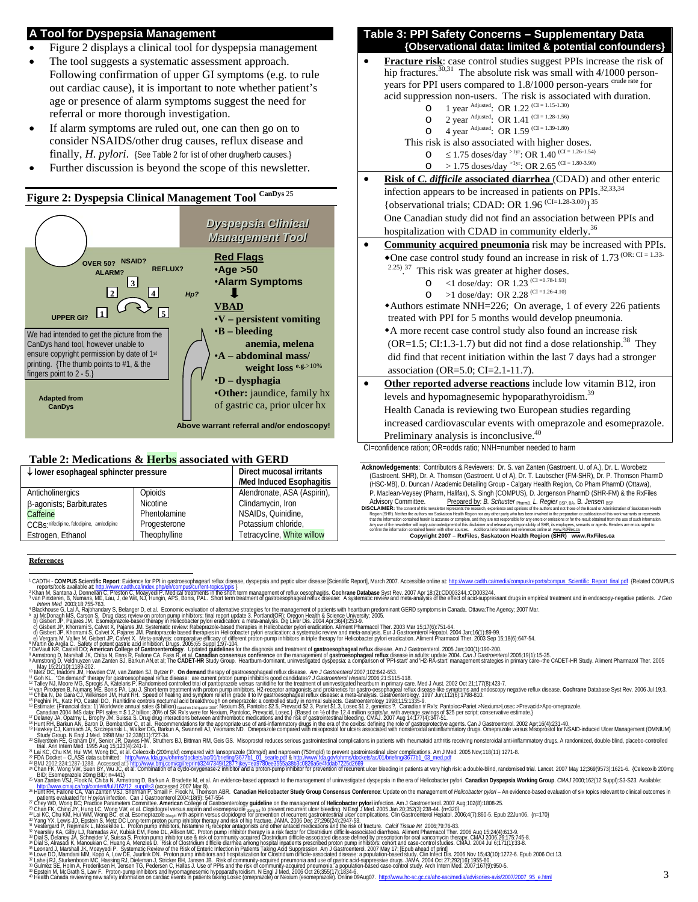## **A Tool for Dyspepsia Management**

- Figure 2 displays a clinical tool for dyspepsia management
- The tool suggests a systematic assessment approach. Following confirmation of upper GI symptoms (e.g. to rule out cardiac cause), it is important to note whether patient's age or presence of alarm symptoms suggest the need for referral or more thorough investigation.
- If alarm symptoms are ruled out, one can then go on to consider NSAIDS/other drug causes, reflux disease and finally, *H. pylori*. {See Table 2 for list of other drug/herb causes.}
- Further discussion is beyond the scope of this newsletter.





#### **Table 2: Medications & Herbs associated with GERD**

| $\downarrow$ lower esophageal sphincter pressure | Direct mucosal irritants |                             |
|--------------------------------------------------|--------------------------|-----------------------------|
|                                                  |                          | /Med Induced Esophagitis    |
| Anticholinergics                                 | Opioids                  | Alendronate, ASA (Aspirin), |
| <b>B-agonists</b> ; Barbiturates                 | <b>Nicotine</b>          | Clindamycin, Iron           |
| Caffeine                                         | Phentolamine             | NSAIDs, Quinidine,          |
| C.C.Bs·nifedipine, felodipine, amlodipine        | Progesterone             | Potassium chloride.         |
| Estrogen, Ethanol                                | Theophylline             | Tetracycline, White willow  |

hip fractures.<sup>30,31</sup> The absolute risk was small with  $4/1000$  personyears for PPI users compared to 1.8/1000 person-years crude rate for acid suppression non-users. The risk is associated with duration. O 1 year Adjusted: OR 1.22  $(CI = 1.15-1.30)$ O 2 year Adjusted: OR 1.41  $^{\text{(CI = 1.28-1.56)}}$ O 4 year Adjusted: OR 1.59  $(CI = 1.39 - 1.80)$  This risk is also associated with higher doses. O ≤ 1.75 doses/day <sup>>1yr</sup>: OR 1.40<sup>(CI = 1.26-1.54)</sup>  $\text{O}$  > 1.75 doses/day <sup>>1yr</sup>: OR 2.65 <sup>(CI = 1.80-3.90)</sup> • **Risk of** *C. difficile* **associated diarrhea** (CDAD) and other enteric infection appears to be increased in patients on PPIs.<sup>32,33,34</sup> {observational trials; CDAD: OR  $1.96$  (CI=1.28-3.00) }<sup>35</sup> One Canadian study did not find an association between PPIs and hospitalization with CDAD in community elderly.<sup>36</sup> • **Community acquired pneumonia** risk may be increased with PPIs. • One case control study found an increase in risk of 1.73  $^{(OR: CI = 1.33-}$  $2.25$ ).<sup>37</sup> This risk was greater at higher doses.  $\circ$  <1 dose/day: OR 1.23 (CI = 0.78-1.93) O >1 dose/day: OR 2.28 <sup>(CI =1.26-4.10)</sup> Authors estimate NNH=226; On average, 1 of every 226 patients treated with PPI for 5 months would develop pneumonia. A more recent case control study also found an increase risk  $(OR=1.5; CI:1.3-1.7)$  but did not find a dose relationship.<sup>38</sup> They did find that recent initiation within the last 7 days had a stronger association (OR=5.0; CI=2.1-11.7). • **Other reported adverse reactions** include low vitamin B12, iron levels and hypomagnesemic hypoparathyroidism.<sup>39</sup> Health Canada is reviewing two European studies regarding increased cardiovascular events with omeprazole and esomeprazole. Preliminary analysis is inconclusive.<sup>40</sup> CI=confidence ration; OR=odds ratio; NNH=number needed to harm **Acknowledgements**: Contributors & Reviewers: Dr. S. van Zanten (Gastroent. U. of A.), Dr. L. Worobetz (Gastroent. SHR), Dr. A. Thomson (Gastroent. U of A), Dr. T. Laubscher (FM-SHR), Dr. P. Thomson PharmD

**Table 3: PPI Safety Concerns – Supplementary Data** 

 **{Observational data: limited & potential confounders}**  • **Fracture risk**: case control studies suggest PPIs increase the risk of

(HSC-MB), D. Duncan / Academic Detailing Group - Calgary Health Region, Co Pham PharmD (Ottawa), P. Maclean-Veysey (Pharm, Halifax), S. Singh (COMPUS), D. Jorgenson PharmD (SHR-FM) & the RxFiles<br>Advisory Committee. Prepared by: B. Schuster PharmD, L. Regier BSP, BA, B. Jensen BSP Prepared by: *B. Schuster* <sub>PharmD,</sub> L. Regier<sub>BSP, BA</sub>, B. Jensen<sub>BSP</sub>

**References**

- 
- 
- 
- 
- 
- 
- 1'CADTH-COMPUS Scientific Report Evidence for PPI nastroscophage if ellimited Report Follows.compared in the Science of PPI nastroscophage in the management of elses at a comparted the and the science of the and the scienc
- 
- 
- 
- 
- 
- 
- 
- 
- 
- 

\* Marging in Vietnamina Constrained in The Color and the Rhoft His Color Health And The Marging Agents a complete that the constrained in the Color His Color And The Color Color Color Color Color Color Color Color Color Co

- a super some American interview of the file of the many and a Reside Mean Management of universigned dyspesia in the era of Helicobacter pylori. Canadian Dyspessia Working Group. CMA/2000.162(12 Suppl):S3-523. Available:<br>
- 
- 
- 
- 
- 
- 
- 
- 

DISCLAIMER: The content of this newsletter represents the research, experience and opinions of the authors and not those of the Board or Administration of Saskatoon Health<br>Region (SHR), Nelther the authors not Saskatoon He **Copyright 2007 – RxFiles, Saskatoon Health Region (SHR) www.RxFiles.ca**

<sup>&</sup>lt;sup>1</sup> CADTH - COMPUS Scientific Report: Evidence for PPI in gastroesophagear reflux disease, dyspepsia and peptic ulcer disease [Scientific Report], March 2007. Accessible online at: http://www.cadth.ca/media/compus/reports/